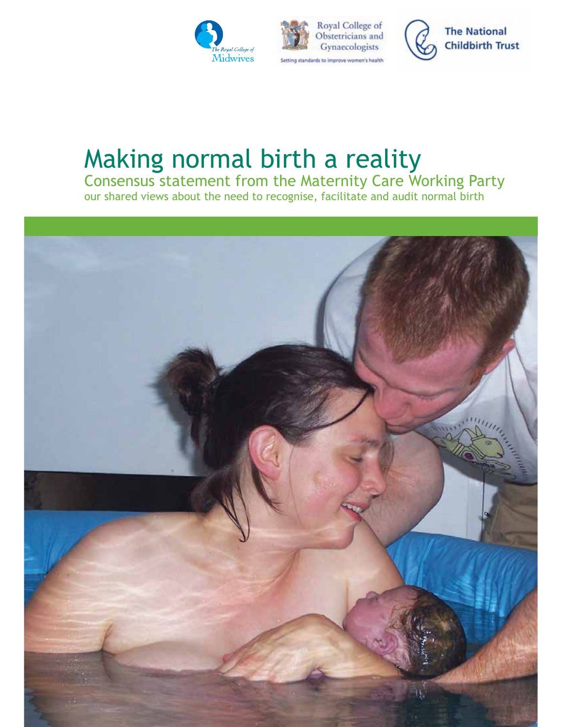





# Making normal birth a reality

Consensus statement from the Maternity Care Working Party our shared views about the need to recognise, facilitate and audit normal birth

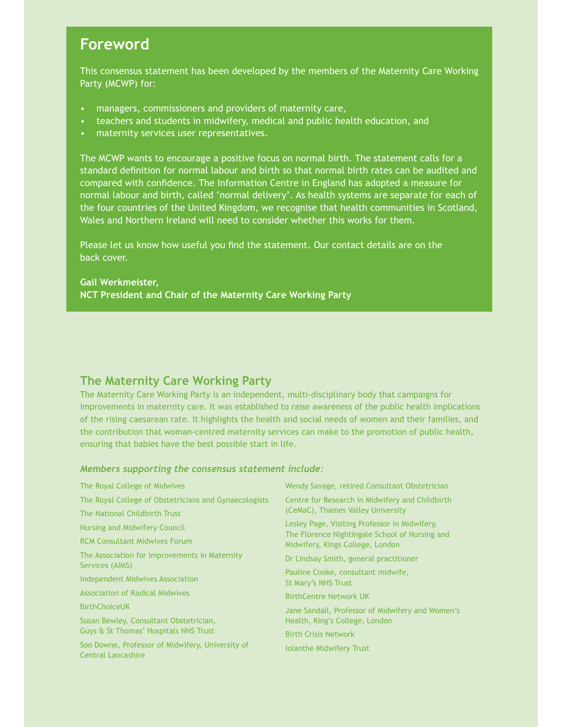# **Foreword**

This consensus statement has been developed by the members of the Maternity Care Working Party (MCWP) for:

- managers, commissioners and providers of maternity care,
- teachers and students in midwifery, medical and public health education, and
- maternity services user representatives.

The MCWP wants to encourage a positive focus on normal birth. The statement calls for a standard definition for normal labour and birth so that normal birth rates can be audited and compared with confidence. The Information Centre in England has adopted a measure for normal labour and birth, called 'normal delivery'. As health systems are separate for each of the four countries of the United Kingdom, we recognise that health communities in Scotland, Wales and Northern Ireland will need to consider whether this works for them.

Please let us know how useful you find the statement. Our contact details are on the back cover.

## **Gail Werkmeister, NCT President and Chair of the Maternity Care Working Party**

## **The Maternity Care Working Party**

The Maternity Care Working Party is an independent, multi-disciplinary body that campaigns for improvements in maternity care. It was established to raise awareness of the public health implications of the rising caesarean rate. It highlights the health and social needs of women and their families, and the contribution that woman-centred maternity services can make to the promotion of public health, ensuring that babies have the best possible start in life.

### *Members supporting the consensus statement include:*

| The Royal College of Midwives                                                 | Wendy Savage, retired Consultant Obstetrician                                                                                       |
|-------------------------------------------------------------------------------|-------------------------------------------------------------------------------------------------------------------------------------|
| The Royal College of Obstetricians and Gynaecologists                         | Centre for Research in Midwifery and Childbirth<br>(CeMaC), Thames Valley University                                                |
| The National Childbirth Trust                                                 |                                                                                                                                     |
| Nursing and Midwifery Council                                                 | Lesley Page, Visiting Professor in Midwifery,<br>The Florence Nightingale School of Nursing and<br>Midwifery, Kings College, London |
| <b>RCM Consultant Midwives Forum</b>                                          |                                                                                                                                     |
| The Association for Improvements in Maternity<br>Services (AIMS)              | Dr Lindsay Smith, general practitioner                                                                                              |
| <b>Independent Midwives Association</b>                                       | Pauline Cooke, consultant midwife,<br>St Mary's NHS Trust                                                                           |
| <b>Association of Radical Midwives</b>                                        | <b>BirthCentre Network UK</b>                                                                                                       |
| <b>BirthChoiceUK</b>                                                          | Jane Sandall, Professor of Midwifery and Women's                                                                                    |
| Susan Bewley, Consultant Obstetrician,                                        | Health, King's College, London                                                                                                      |
| Guys & St Thomas' Hospitals NHS Trust                                         | <b>Birth Crisis Network</b>                                                                                                         |
| Soo Downe, Professor of Midwifery, University of<br><b>Central Lancashire</b> | <b>Iolanthe Midwifery Trust</b>                                                                                                     |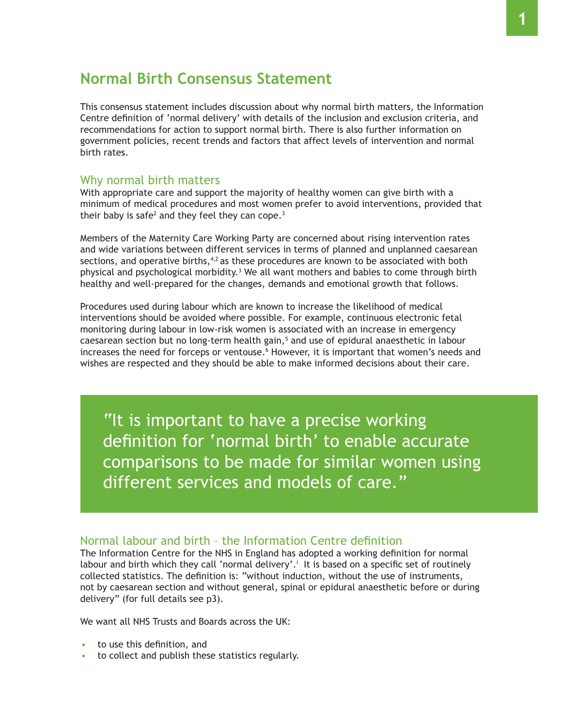# **Normal Birth Consensus Statement**

This consensus statement includes discussion about why normal birth matters, the Information Centre definition of 'normal delivery' with details of the inclusion and exclusion criteria, and recommendations for action to support normal birth. There is also further information on government policies, recent trends and factors that affect levels of intervention and normal birth rates.

## Why normal birth matters

With appropriate care and support the majority of healthy women can give birth with a minimum of medical procedures and most women prefer to avoid interventions, provided that their baby is safe<sup>2</sup> and they feel they can cope.<sup>3</sup>

Members of the Maternity Care Working Party are concerned about rising intervention rates and wide variations between different services in terms of planned and unplanned caesarean sections, and operative births, $4,2$  as these procedures are known to be associated with both physical and psychological morbidity.<sup>3</sup> We all want mothers and babies to come through birth healthy and well-prepared for the changes, demands and emotional growth that follows.

Procedures used during labour which are known to increase the likelihood of medical interventions should be avoided where possible. For example, continuous electronic fetal monitoring during labour in low-risk women is associated with an increase in emergency caesarean section but no long-term health gain, $^5$  and use of epidural anaesthetic in labour increases the need for forceps or ventouse.<sup>6</sup> However, it is important that women's needs and wishes are respected and they should be able to make informed decisions about their care.

"It is important to have a precise working definition for 'normal birth' to enable accurate comparisons to be made for similar women using different services and models of care."

# Normal labour and birth - the Information Centre definition

The Information Centre for the NHS in England has adopted a working definition for normal labour and birth which they call 'normal delivery'.<sup>†</sup> It is based on a specific set of routinely collected statistics. The definition is: "without induction, without the use of instruments, not by caesarean section and without general, spinal or epidural anaesthetic before or during delivery" (for full details see p3).

We want all NHS Trusts and Boards across the UK:

- $\cdot$  to use this definition, and
- to collect and publish these statistics regularly.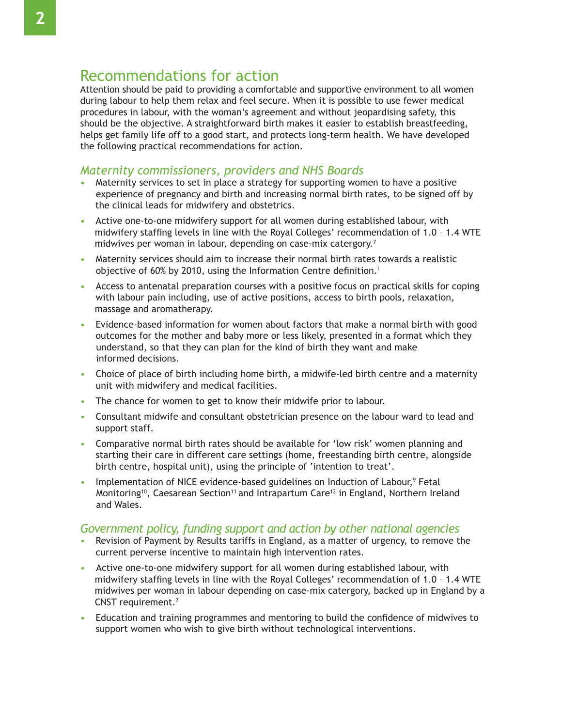# Recommendations for action

Attention should be paid to providing a comfortable and supportive environment to all women during labour to help them relax and feel secure. When it is possible to use fewer medical procedures in labour, with the woman's agreement and without jeopardising safety, this should be the objective. A straightforward birth makes it easier to establish breastfeeding, helps get family life off to a good start, and protects long-term health. We have developed the following practical recommendations for action.

## *Maternity commissioners, providers and NHS Boards*

- Maternity services to set in place a strategy for supporting women to have a positive experience of pregnancy and birth and increasing normal birth rates, to be signed off by the clinical leads for midwifery and obstetrics.
- Active one-to-one midwifery support for all women during established labour, with midwifery staffing levels in line with the Royal Colleges' recommendation of 1.0 - 1.4 WTE midwives per woman in labour, depending on case-mix catergory.<sup>7</sup>
- Maternity services should aim to increase their normal birth rates towards a realistic objective of 60% by 2010, using the Information Centre definition.<sup>i</sup>
- Access to antenatal preparation courses with a positive focus on practical skills for coping with labour pain including, use of active positions, access to birth pools, relaxation, massage and aromatherapy.
- Evidence-based information for women about factors that make a normal birth with good outcomes for the mother and baby more or less likely, presented in a format which they understand, so that they can plan for the kind of birth they want and make informed decisions.
- Choice of place of birth including home birth, a midwife-led birth centre and a maternity unit with midwifery and medical facilities.
- The chance for women to get to know their midwife prior to labour.
- Consultant midwife and consultant obstetrician presence on the labour ward to lead and support staff.
- Comparative normal birth rates should be available for 'low risk' women planning and starting their care in different care settings (home, freestanding birth centre, alongside birth centre, hospital unit), using the principle of 'intention to treat'.
- Implementation of NICE evidence-based guidelines on Induction of Labour,<sup>9</sup> Fetal Monitoring<sup>10</sup>, Caesarean Section<sup>11</sup> and Intrapartum Care<sup>12</sup> in England, Northern Ireland and Wales.

## *Government policy, funding support and action by other national agencies*

- Revision of Payment by Results tariffs in England, as a matter of urgency, to remove the current perverse incentive to maintain high intervention rates.
- Active one-to-one midwifery support for all women during established labour, with midwifery staffing levels in line with the Royal Colleges' recommendation of 1.0 - 1.4 WTE midwives per woman in labour depending on case-mix catergory, backed up in England by a CNST requirement. $7$
- Education and training programmes and mentoring to build the confidence of midwives to support women who wish to give birth without technological interventions.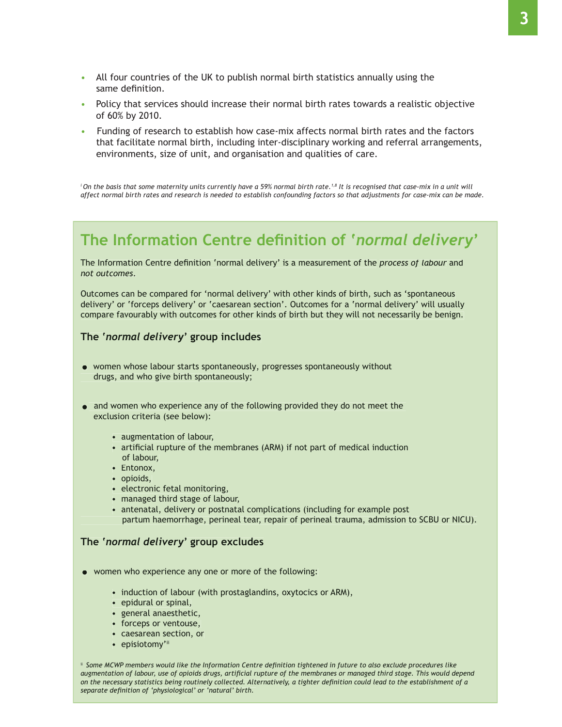- All four countries of the UK to publish normal birth statistics annually using the same definition.
- Policy that services should increase their normal birth rates towards a realistic objective of 60% by 2010.
- Funding of research to establish how case-mix affects normal birth rates and the factors that facilitate normal birth, including inter-disciplinary working and referral arrangements, environments, size of unit, and organisation and qualities of care.

<sup>i</sup> On the basis that some maternity units currently have a 59% normal birth rate.<sup>1,8</sup> It is recognised that case-mix in a unit will *affect normal birth rates and research is needed to establish confounding factors so that adjustments for case-mix can be made.*

# **7he Information Centre definition of 'normal delivery'**

The Information Centre definition 'normal delivery' is a measurement of the *process of labour* and *not outcomes*

Outcomes can be compared for 'normal delivery' with other kinds of birth, such as 'spontaneous delivery' or 'forceps delivery' or 'caesarean section'. Outcomes for a 'normal delivery' will usually compare favourably with outcomes for other kinds of birth but they will not necessarily be benign.

#### **7KH¶***normal delivery***' group includes**

- women whose labour starts spontaneously, progresses spontaneously without drugs, and who give birth spontaneously;
- $\bullet$  and women who experience any of the following provided they do not meet the exclusion criteria (see below):
	- augmentation of labour,
	- artificial rupture of the membranes (ARM) if not part of medical induction of labour,
	- Entonox.
	- $\bullet$  opioids,
	- electronic fetal monitoring,
	- managed third stage of labour,
	- antenatal, delivery or postnatal complications (including for example post partum haemorrhage, perineal tear, repair of perineal trauma, admission to SCBU or NICU).

#### *The 'normal delivery'* **group excludes**

- women who experience any one or more of the following:
	- induction of labour (with prostaglandins, oxytocics or ARM),
	- $\cdot$  epidural or spinal,
	- general anaesthetic,
	- forceps or ventouse,
	- caesarean section, or
	- episiotomy'ii

<sup>ii</sup> Some MCWP members would like the Information Centre definition tightened in future to also exclude procedures like augmentation of labour, use of opioids drugs, artificial rupture of the membranes or managed third stage. This would depend *On the necessary statistics being routinely collected. Alternatively, a tighter definition could lead to the establishment of a separate definition of 'physiological' or 'natural' birth.*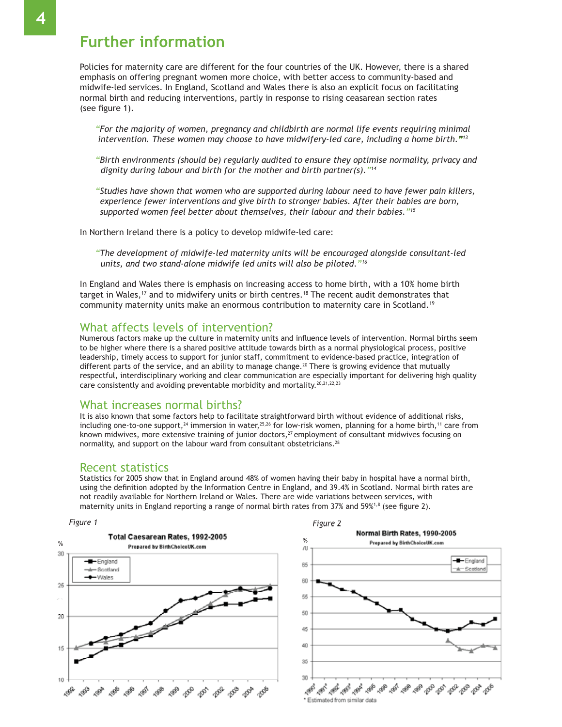Policies for maternity care are different for the four countries of the UK. However, there is a shared emphasis on offering pregnant women more choice, with better access to community-based and midwife-led services. In England, Scotland and Wales there is also an explicit focus on facilitating normal birth and reducing interventions, partly in response to rising ceasarean section rates (see figure 1).

*"For the majority of women, pregnancy and childbirth are normal life events requiring minimal Intervention. These women may choose to have midwifery-led care, including a home birth.*"<sup>13</sup>

*"Birth environments (should be) regularly audited to ensure they optimise normality, privacy and dignity during labour and birth for the mother and birth partner(s)."14*

*"Studies have shown that women who are supported during labour need to have fewer pain killers, experience fewer interventions and give birth to stronger babies. After their babies are born, supported women feel better about themselves, their labour and their babies."15*

In Northern Ireland there is a policy to develop midwife-led care:

*"The development of midwife-led maternity units will be encouraged alongside consultant-led units, and two stand-alone midwife led units will also be piloted."16*

In England and Wales there is emphasis on increasing access to home birth, with a 10% home birth target in Wales,<sup>17</sup> and to midwifery units or birth centres.<sup>18</sup> The recent audit demonstrates that community maternity units make an enormous contribution to maternity care in Scotland.<sup>19</sup>

### What affects levels of intervention?

Numerous factors make up the culture in maternity units and influence levels of intervention. Normal births seem to be higher where there is a shared positive attitude towards birth as a normal physiological process, positive leadership, timely access to support for junior staff, commitment to evidence-based practice, integration of different parts of the service, and an ability to manage change.<sup>20</sup> There is growing evidence that mutually respectful, interdisciplinary working and clear communication are especially important for delivering high quality care consistently and avoiding preventable morbidity and mortality.<sup>20,21,22,23</sup>

#### What increases normal births?

It is also known that some factors help to facilitate straightforward birth without evidence of additional risks, including one-to-one support,<sup>24</sup> immersion in water,<sup>25,26</sup> for low-risk women, planning for a home birth,<sup>11</sup> care from known midwives, more extensive training of junior doctors, $i^2$  employment of consultant midwives focusing on normality, and support on the labour ward from consultant obstetricians.<sup>28</sup>

#### Recent statistics

Statistics for 2005 show that in England around 48% of women having their baby in hospital have a normal birth, using the definition adopted by the Information Centre in England, and 39.4% in Scotland, Normal birth rates are not readily available for Northern Ireland or Wales. There are wide variations between services, with maternity units in England reporting a range of normal birth rates from 37% and 59%<sup>1,8</sup> (see figure 2).

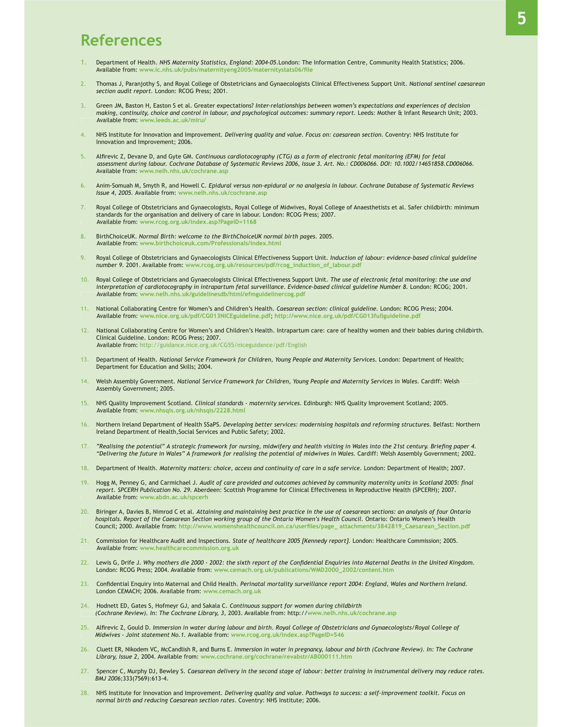# **References**

- Department of Health. NHS Maternity Statistics, England: 2004-05.London: The Information Centre, Community Health Statistics; 2006. Available from: www.ic.nhs.uk/pubs/maternityeng2005/maternitystats06/file
- 2. Thomas J, Paranjothy S, and Royal College of Obstetricians and Gynaecologists Clinical Effectiveness Support Unit. National sentinel caesarean *section audit report.* London: RCOG Press; 2001.
- Green JM, Baston H, Easton S et al. Greater expectations? Inter-relationships between women's expectations and experiences of decision *making, continuity, choice and control in labour, and psychological outcomes: summary report. Leeds: Mother & Infant Research Unit; 2003.<br>Available from: www.leeds.ac.uk/miru/* Available from: **www.leeds.ac.uk/miru/**
- NHS Institute for Innovation and Improvement. *Delivering quality and value. Focus on: caesarean section*. Coventry: NHS Institute for Innovation and Improvement; 2006.
- 5. Alfirevic Z, Devane D, and Gyte GM. Continuous cardiotocography (CTG) as a form of electronic fetal monitoring (EFM) for fetal  *assessment during labour. Cochrane Database of Systematic Reviews 2006, Issue 3. Art. No.: CD006066. DOI: 10.1002/14651858.CD006066.*  Available from: **www.nelh.nhs.uk/cochrane.asp**
- 6. Anim-Somuah M, Smyth R, and Howell C. Epidural versus non-epidural or no analgesia in labour. Cochrane Database of Systematic Reviews *Issue 4, 2005.* Available from: **www.nelh.nhs.uk/cochrane.asp**
- Royal College of Obstetricians and Gynaecologists, Royal College of Midwives, Royal College of Anaesthetists et al. Safer childbirth: minimum standards for the organisation and delivery of care in labour. London: RCOG Press; 2007. Available from: **www.rcog.org.uk/index.asp?PageID=1168**
- 8. BirthChoiceUK, Normal Birth: welcome to the BirthChoiceUK normal birth pages. 2005. Available from: **www.birthchoiceuk.com/Professionals/index.html**
- 9. Royal College of Obstetricians and Gynaecologists Clinical Effectiveness Support Unit. Induction of labour: evidence-based clinical guideline number 9. 2001. Available from: www.rcog.org.uk/resources/pdf/rcog\_induction\_of\_labour.pdf
- 10. Royal College of Obstetricians and Gynaecologists Clinical Effectiveness Support Unit. The use of electronic fetal monitoring: the use and *interpretation of cardiotocography in intrapartum fetal surveillance. Evidence-based clinical guideline Number 8. London: RCOG; 2001.* Available from: **www.nelh.nhs.uk/guidelinesdb/html/efmguidelinercog.pdf**
- 11. National Collaborating Centre for Women's and Children's Health. Caesarean section: clinical guideline. London: RCOG Press; 2004. Available from: **www.nice.org.uk/pdf/CG013NICEguideline.pdf**; **http://www.nice.org.uk/pdf/CG013fullguideline.pdf**
- 12. National Collaborating Centre for Women's and Children's Health. Intrapartum care: care of healthy women and their babies during childbirth. Clinical Guideline. London: RCOG Press; 2007. Available from: http://guidance.nice.org.uk/CG55/niceguidance/pdf/English
- 13. Department of Health. National Service Framework for Children, Young People and Maternity Services. London: Department of Health; Department for Education and Skills: 2004.
- 14. Welsh Assembly Government, National Service Framework for Children, Young People and Maternity Services in Wales. Cardiff: Welsh Assembly Government; 2005.
- 15. NHS Quality Improvement Scotland. Clinical standards maternity services. Edinburgh: NHS Quality Improvement Scotland; 2005. Available from: **www.nhsqis.org.uk/nhsqis/2228.html**
- 16. Northern Ireland Department of Health SSaPS, Developing better services: modernising hospitals and reforming structures. Belfast: Northern Ireland Department of Health, Social Services and Public Safety; 2002.
- .17. "Realising the potential" A strategic framework for nursing, midwifery and health visiting in Wales into the 21st century. Briefing paper 4.<br>"Delivering the future in Wales" A framework for realising the potential of
- 18. Department of Health. Maternity matters: choice, access and continuity of care in a safe service. London: Department of Health; 2007.
- 19. Hogg M, Penney G, and Carmichael J. Audit of care provided and outcomes achieved by community maternity units in Scotland 2005: final *report. SPCERH Publication No. 29. Aberdeen: Scottish Programme for Clinical Effectiveness in Reproductive Health (SPCERH); 2007.* Available from: **www.abdn.ac.uk/spcerh**
- 20. Biringer A, Davies B, Nimrod C et al. Attaining and maintaining best practice in the use of caesarean sections: an analysis of four Ontario *KRVSLWDOV5HSRUWRIWKH&DHVDUHDQ6HFWLRQZRUNLQJJURXSRIWKH2QWDULR:RPHQ·V+HDOWK&RXQFLO* Ontario: Ontario Women's Health Council; 2000. Available from: http://www.womenshealthcouncil.on.ca/userfiles/page attachments/3842819 Caesarean Section.pdf
- 21. Commission for Healthcare Audit and Inspections. State of healthcare 2005 [Kennedy report]. London: Healthcare Commission; 2005. Available from: **www.healthcarecommission.org.uk**
- 22. Lewis G, Drife J. Why mothers die 2000 2002: the sixth report of the Confidential Enquiries into Maternal Deaths in the United Kingdom. London: RCOG Press; 2004. Available from: www.cemach.org.uk/publications/WMD2000\_2002/content.htm
- 23. Confidential Enquiry into Maternal and Child Health. Perinatal mortality surveillance report 2004: England, Wales and Northern Ireland. London CEMACH: 2006. Available from: w
- 24. Hodnett ED, Gates S, Hofmeyr GJ, and Sakala C. Continuous support for women during childbirth *(Cochrane Review). In: The Cochrane Library, 3, 2003. Available from: http://www.nelh.nhs.uk/cochrane.asp*
- 25. Alfirevic Z, Gould D. Immersion in water during labour and birth. Royal College of Obstetricians and Gynaecologists/Royal College of  *Midwives - Joint statement No.1.* Available from: **www.rcog.org.uk/index.asp?PageID=546**
- 26. Cluett ER, Nikodem VC, McCandlish R, and Burns E. Immersion in water in pregnancy, labour and birth (Cochrane Review). In: The Cochrane Library, Issue 2, 2004. Available from: www.cochrane.org/cochrane/revabstr/AB000111.htm
- 27. Spencer C, Murphy DJ, Bewley S. Caesarean delivery in the second stage of labour: better training in instrumental delivery may reduce rates.  *BMJ 2006;*
- 28. NHS Institute for Innovation and Improvement. Delivering quality and value. Pathways to success: a self-improvement toolkit. Focus on *normal birth and reducing Caesarean section rates. Coventry: NHS Institute; 2006.*